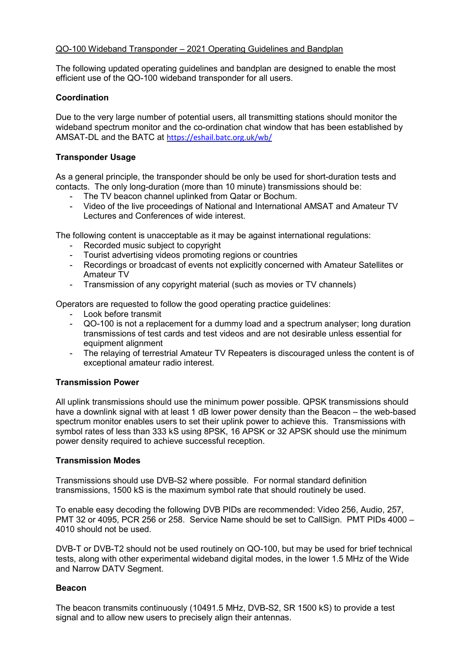#### QO-100 Wideband Transponder – 2021 Operating Guidelines and Bandplan

The following updated operating guidelines and bandplan are designed to enable the most efficient use of the QO-100 wideband transponder for all users.

### Coordination

Due to the very large number of potential users, all transmitting stations should monitor the wideband spectrum monitor and the co-ordination chat window that has been established by AMSAT-DL and the BATC at https://eshail.batc.org.uk/wb/

### Transponder Usage

As a general principle, the transponder should be only be used for short-duration tests and contacts. The only long-duration (more than 10 minute) transmissions should be:

- The TV beacon channel uplinked from Qatar or Bochum.
- Video of the live proceedings of National and International AMSAT and Amateur TV Lectures and Conferences of wide interest.

The following content is unacceptable as it may be against international regulations:

- Recorded music subject to copyright
- Tourist advertising videos promoting regions or countries
- Recordings or broadcast of events not explicitly concerned with Amateur Satellites or Amateur TV
- Transmission of any copyright material (such as movies or TV channels)

Operators are requested to follow the good operating practice guidelines:

- Look before transmit
- QO-100 is not a replacement for a dummy load and a spectrum analyser; long duration transmissions of test cards and test videos and are not desirable unless essential for equipment alignment
- The relaying of terrestrial Amateur TV Repeaters is discouraged unless the content is of exceptional amateur radio interest.

#### Transmission Power

All uplink transmissions should use the minimum power possible. QPSK transmissions should have a downlink signal with at least 1 dB lower power density than the Beacon – the web-based spectrum monitor enables users to set their uplink power to achieve this. Transmissions with symbol rates of less than 333 kS using 8PSK, 16 APSK or 32 APSK should use the minimum power density required to achieve successful reception.

#### Transmission Modes

Transmissions should use DVB-S2 where possible. For normal standard definition transmissions, 1500 kS is the maximum symbol rate that should routinely be used.

To enable easy decoding the following DVB PIDs are recommended: Video 256, Audio, 257, PMT 32 or 4095, PCR 256 or 258. Service Name should be set to CallSign. PMT PIDs 4000 – 4010 should not be used.

DVB-T or DVB-T2 should not be used routinely on QO-100, but may be used for brief technical tests, along with other experimental wideband digital modes, in the lower 1.5 MHz of the Wide and Narrow DATV Segment.

#### Beacon

The beacon transmits continuously (10491.5 MHz, DVB-S2, SR 1500 kS) to provide a test signal and to allow new users to precisely align their antennas.